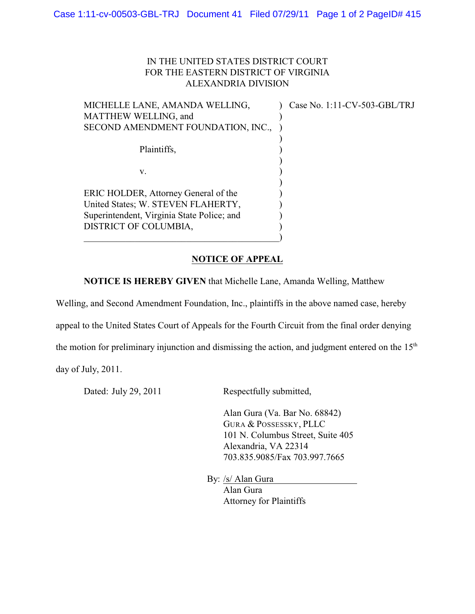## IN THE UNITED STATES DISTRICT COURT FOR THE EASTERN DISTRICT OF VIRGINIA ALEXANDRIA DIVISION

| MICHELLE LANE, AMANDA WELLING,             | Case No. 1:11-CV-503-GBL/TRJ |
|--------------------------------------------|------------------------------|
| MATTHEW WELLING, and                       |                              |
| SECOND AMENDMENT FOUNDATION, INC.,         |                              |
|                                            |                              |
| Plaintiffs.                                |                              |
|                                            |                              |
| v.                                         |                              |
|                                            |                              |
| ERIC HOLDER, Attorney General of the       |                              |
| United States; W. STEVEN FLAHERTY,         |                              |
| Superintendent, Virginia State Police; and |                              |
| DISTRICT OF COLUMBIA,                      |                              |
|                                            |                              |

## **NOTICE OF APPEAL**

**NOTICE IS HEREBY GIVEN** that Michelle Lane, Amanda Welling, Matthew

Welling, and Second Amendment Foundation, Inc., plaintiffs in the above named case, hereby

appeal to the United States Court of Appeals for the Fourth Circuit from the final order denying

the motion for preliminary injunction and dismissing the action, and judgment entered on the  $15<sup>th</sup>$ 

day of July, 2011.

Dated: July 29, 2011 Respectfully submitted,

Alan Gura (Va. Bar No. 68842) GURA & POSSESSKY, PLLC 101 N. Columbus Street, Suite 405 Alexandria, VA 22314 703.835.9085/Fax 703.997.7665

By: /s/ Alan Gura

Alan Gura Attorney for Plaintiffs